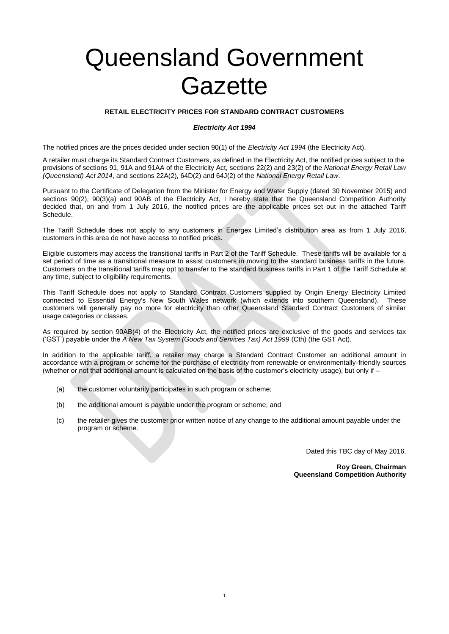# Queensland Government **Gazette**

# **RETAIL ELECTRICITY PRICES FOR STANDARD CONTRACT CUSTOMERS**

# *Electricity Act 1994*

The notified prices are the prices decided under section 90(1) of the *Electricity Act 1994* (the Electricity Act).

A retailer must charge its Standard Contract Customers, as defined in the Electricity Act, the notified prices subject to the provisions of sections 91, 91A and 91AA of the Electricity Act, sections 22(2) and 23(2) of the *National Energy Retail Law (Queensland) Act 2014*, and sections 22A(2), 64D(2) and 64J(2) of the *National Energy Retail Law*.

Pursuant to the Certificate of Delegation from the Minister for Energy and Water Supply (dated 30 November 2015) and sections 90(2), 90(3)(a) and 90AB of the Electricity Act, I hereby state that the Queensland Competition Authority decided that, on and from 1 July 2016, the notified prices are the applicable prices set out in the attached Tariff Schedule.

The Tariff Schedule does not apply to any customers in Energex Limited's distribution area as from 1 July 2016, customers in this area do not have access to notified prices.

Eligible customers may access the transitional tariffs in Part 2 of the Tariff Schedule. These tariffs will be available for a set period of time as a transitional measure to assist customers in moving to the standard business tariffs in the future. Customers on the transitional tariffs may opt to transfer to the standard business tariffs in Part 1 of the Tariff Schedule at any time, subject to eligibility requirements.

This Tariff Schedule does not apply to Standard Contract Customers supplied by Origin Energy Electricity Limited connected to Essential Energy's New South Wales network (which extends into southern Queensland). These customers will generally pay no more for electricity than other Queensland Standard Contract Customers of similar usage categories or classes.

As required by section 90AB(4) of the Electricity Act, the notified prices are exclusive of the goods and services tax ('GST') payable under the *A New Tax System (Goods and Services Tax) Act 1999* (Cth) (the GST Act).

In addition to the applicable tariff, a retailer may charge a Standard Contract Customer an additional amount in accordance with a program or scheme for the purchase of electricity from renewable or environmentally-friendly sources (whether or not that additional amount is calculated on the basis of the customer's electricity usage), but only if –

- (a) the customer voluntarily participates in such program or scheme;
- (b) the additional amount is payable under the program or scheme; and
- (c) the retailer gives the customer prior written notice of any change to the additional amount payable under the program or scheme.

Dated this TBC day of May 2016.

**Roy Green, Chairman Queensland Competition Authority**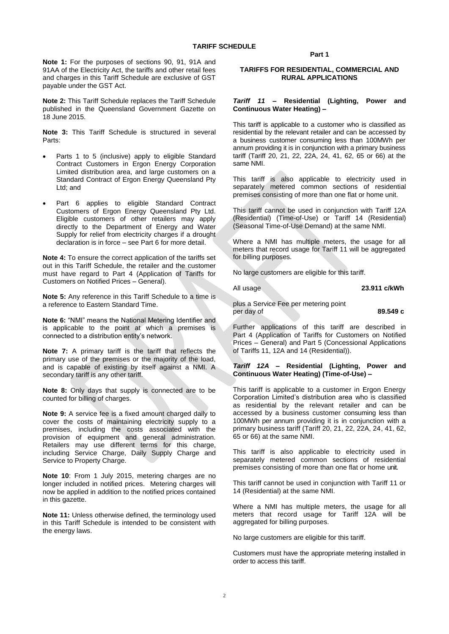**Note 1:** For the purposes of sections 90, 91, 91A and 91AA of the Electricity Act, the tariffs and other retail fees and charges in this Tariff Schedule are exclusive of GST payable under the GST Act.

**Note 2:** This Tariff Schedule replaces the Tariff Schedule published in the Queensland Government Gazette on 18 June 2015.

**Note 3:** This Tariff Schedule is structured in several Parts:

- Parts 1 to 5 (inclusive) apply to eligible Standard Contract Customers in Ergon Energy Corporation Limited distribution area, and large customers on a Standard Contract of Ergon Energy Queensland Pty Ltd; and
- Part 6 applies to eligible Standard Contract Customers of Ergon Energy Queensland Pty Ltd. Eligible customers of other retailers may apply directly to the Department of Energy and Water Supply for relief from electricity charges if a drought declaration is in force – see Part 6 for more detail.

**Note 4:** To ensure the correct application of the tariffs set out in this Tariff Schedule, the retailer and the customer must have regard to Part 4 (Application of Tariffs for Customers on Notified Prices – General).

**Note 5:** Any reference in this Tariff Schedule to a time is a reference to Eastern Standard Time.

**Note 6:** "NMI" means the National Metering Identifier and is applicable to the point at which a premises is connected to a distribution entity's network.

**Note 7:** A primary tariff is the tariff that reflects the primary use of the premises or the majority of the load, and is capable of existing by itself against a NMI. A secondary tariff is any other tariff.

**Note 8:** Only days that supply is connected are to be counted for billing of charges.

**Note 9:** A service fee is a fixed amount charged daily to cover the costs of maintaining electricity supply to a premises, including the costs associated with the provision of equipment and general administration. Retailers may use different terms for this charge, including Service Charge, Daily Supply Charge and Service to Property Charge.

**Note 10**: From 1 July 2015, metering charges are no longer included in notified prices. Metering charges will now be applied in addition to the notified prices contained in this gazette.

**Note 11:** Unless otherwise defined, the terminology used in this Tariff Schedule is intended to be consistent with the energy laws.

**Part 1**

## **TARIFFS FOR RESIDENTIAL, COMMERCIAL AND RURAL APPLICATIONS**

# *Tariff 11* **– Residential (Lighting, Power and Continuous Water Heating) –**

This tariff is applicable to a customer who is classified as residential by the relevant retailer and can be accessed by a business customer consuming less than 100MWh per annum providing it is in conjunction with a primary business tariff (Tariff 20, 21, 22, 22A, 24, 41, 62, 65 or 66) at the same NMI.

This tariff is also applicable to electricity used in separately metered common sections of residential premises consisting of more than one flat or home unit.

This tariff cannot be used in conjunction with Tariff 12A (Residential) (Time-of-Use) or Tariff 14 (Residential) (Seasonal Time-of-Use Demand) at the same NMI.

Where a NMI has multiple meters, the usage for all meters that record usage for Tariff 11 will be aggregated for billing purposes.

No large customers are eligible for this tariff.

All usage **23.911 c/kWh**

plus a Service Fee per metering point per day of **89.549 c**

Further applications of this tariff are described in Part 4 (Application of Tariffs for Customers on Notified Prices – General) and Part 5 (Concessional Applications of Tariffs 11, 12A and 14 (Residential)).

## *Tariff 12A* **– Residential (Lighting, Power and Continuous Water Heating) (Time-of-Use) –**

This tariff is applicable to a customer in Ergon Energy Corporation Limited's distribution area who is classified as residential by the relevant retailer and can be accessed by a business customer consuming less than 100MWh per annum providing it is in conjunction with a primary business tariff (Tariff 20, 21, 22, 22A, 24, 41, 62, 65 or 66) at the same NMI.

This tariff is also applicable to electricity used in separately metered common sections of residential premises consisting of more than one flat or home unit.

This tariff cannot be used in conjunction with Tariff 11 or 14 (Residential) at the same NMI.

Where a NMI has multiple meters, the usage for all meters that record usage for Tariff 12A will be aggregated for billing purposes.

No large customers are eligible for this tariff.

Customers must have the appropriate metering installed in order to access this tariff.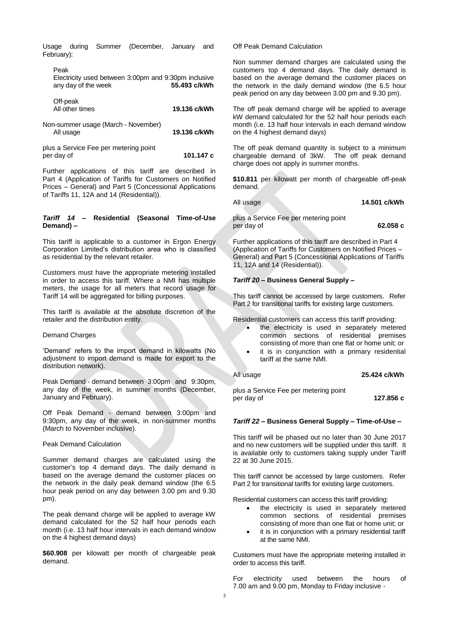Usage during Summer (December, January and February):

| Peak<br>Electricity used between 3:00pm and 9:30pm inclusive<br>any day of the week | 55.493 c/kWh |
|-------------------------------------------------------------------------------------|--------------|
| Off-peak<br>All other times                                                         | 19.136 c/kWh |
| Non-summer usage (March - November)<br>All usage                                    | 19.136 c/kWh |

plus a Service Fee per metering point per day of **101.147 c**

Further applications of this tariff are described in Part 4 (Application of Tariffs for Customers on Notified Prices – General) and Part 5 (Concessional Applications of Tariffs 11, 12A and 14 (Residential)).

# *Tariff 14* **– Residential (Seasonal Time-of-Use Demand) –**

This tariff is applicable to a customer in Ergon Energy Corporation Limited's distribution area who is classified as residential by the relevant retailer.

Customers must have the appropriate metering installed in order to access this tariff. Where a NMI has multiple meters, the usage for all meters that record usage for Tariff 14 will be aggregated for billing purposes.

This tariff is available at the absolute discretion of the retailer and the distribution entity.

# Demand Charges

'Demand' refers to the import demand in kilowatts (No adjustment to import demand is made for export to the distribution network).

Peak Demand - demand between 3:00pm and 9:30pm, any day of the week, in summer months (December, January and February).

Off Peak Demand - demand between 3:00pm and 9:30pm, any day of the week, in non-summer months (March to November inclusive).

# Peak Demand Calculation

Summer demand charges are calculated using the customer's top 4 demand days. The daily demand is based on the average demand the customer places on the network in the daily peak demand window (the 6.5 hour peak period on any day between 3.00 pm and 9.30 pm).

The peak demand charge will be applied to average kW demand calculated for the 52 half hour periods each month (i.e. 13 half hour intervals in each demand window on the 4 highest demand days)

**\$60.908** per kilowatt per month of chargeable peak demand.

Off Peak Demand Calculation

Non summer demand charges are calculated using the customers top 4 demand days. The daily demand is based on the average demand the customer places on the network in the daily demand window (the 6.5 hour peak period on any day between 3.00 pm and 9.30 pm).

The off peak demand charge will be applied to average kW demand calculated for the 52 half hour periods each month (i.e. 13 half hour intervals in each demand window on the 4 highest demand days)

The off peak demand quantity is subject to a minimum chargeable demand of 3kW. The off peak demand charge does not apply in summer months.

**\$10.811** per kilowatt per month of chargeable off-peak demand.

All usage **14.501 c/kWh**

plus a Service Fee per metering point per day of **62.058 c**

Further applications of this tariff are described in Part 4 (Application of Tariffs for Customers on Notified Prices – General) and Part 5 (Concessional Applications of Tariffs 11, 12A and 14 (Residential)).

# *Tariff 20* **– Business General Supply –**

This tariff cannot be accessed by large customers. Refer Part 2 for transitional tariffs for existing large customers.

Residential customers can access this tariff providing:

- the electricity is used in separately metered common sections of residential premises consisting of more than one flat or home unit; or
- it is in conjunction with a primary residential tariff at the same NMI.

All usage **25.424 c/kWh**

plus a Service Fee per metering point per day of **127.856 c**

# *Tariff 22* **– Business General Supply – Time-of-Use –**

This tariff will be phased out no later than 30 June 2017 and no new customers will be supplied under this tariff. It is available only to customers taking supply under Tariff 22 at 30 June 2015.

This tariff cannot be accessed by large customers. Refer Part 2 for transitional tariffs for existing large customers.

Residential customers can access this tariff providing:

- the electricity is used in separately metered common sections of residential premises consisting of more than one flat or home unit; or
- it is in conjunction with a primary residential tariff at the same NMI.

Customers must have the appropriate metering installed in order to access this tariff.

For electricity used between the hours of 7.00 am and 9.00 pm, Monday to Friday inclusive -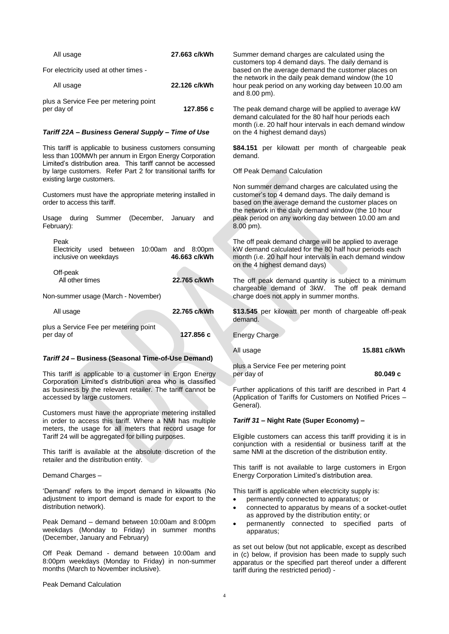| All usage | 27.663 c/kWh |
|-----------|--------------|
|           |              |

For electricity used at other times -

| All usage                             | 22.126 c/kWh |
|---------------------------------------|--------------|
| plus a Service Fee per metering point |              |
| per day of                            | 127.856 c    |

# *Tariff 22A – Business General Supply – Time of Use*

This tariff is applicable to business customers consuming less than 100MWh per annum in Ergon Energy Corporation Limited's distribution area. This tariff cannot be accessed by large customers. Refer Part 2 for transitional tariffs for existing large customers.

Customers must have the appropriate metering installed in order to access this tariff.

Usage during Summer (December, January and February):

| Peak<br>Electricity used between 10:00am and 8:00pm<br>inclusive on weekdays | 46.663 c/kWh |
|------------------------------------------------------------------------------|--------------|
| Off-peak<br>All other times                                                  | 22.765 c/kWh |

Non-summer usage (March - November)

| All usage                                           | 22.765 c/kWh |
|-----------------------------------------------------|--------------|
| plus a Service Fee per metering point<br>per day of | 127,856 c    |

#### *Tariff 24* **– Business (Seasonal Time-of-Use Demand)**

This tariff is applicable to a customer in Ergon Energy Corporation Limited's distribution area who is classified as business by the relevant retailer. The tariff cannot be accessed by large customers.

Customers must have the appropriate metering installed in order to access this tariff. Where a NMI has multiple meters, the usage for all meters that record usage for Tariff 24 will be aggregated for billing purposes.

This tariff is available at the absolute discretion of the retailer and the distribution entity.

#### Demand Charges –

'Demand' refers to the import demand in kilowatts (No adjustment to import demand is made for export to the distribution network).

Peak Demand – demand between 10:00am and 8:00pm weekdays (Monday to Friday) in summer months (December, January and February)

Off Peak Demand - demand between 10:00am and 8:00pm weekdays (Monday to Friday) in non-summer months (March to November inclusive).

Summer demand charges are calculated using the customers top 4 demand days. The daily demand is based on the average demand the customer places on the network in the daily peak demand window (the 10 hour peak period on any working day between 10.00 am and 8.00 pm).

The peak demand charge will be applied to average kW demand calculated for the 80 half hour periods each month (i.e. 20 half hour intervals in each demand window on the 4 highest demand days)

**\$84.151** per kilowatt per month of chargeable peak demand.

Off Peak Demand Calculation

Non summer demand charges are calculated using the customer's top 4 demand days. The daily demand is based on the average demand the customer places on the network in the daily demand window (the 10 hour peak period on any working day between 10.00 am and 8.00 pm).

The off peak demand charge will be applied to average kW demand calculated for the 80 half hour periods each month (i.e. 20 half hour intervals in each demand window on the 4 highest demand days)

The off peak demand quantity is subject to a minimum chargeable demand of 3kW. The off peak demand charge does not apply in summer months.

**\$13.545** per kilowatt per month of chargeable off-peak demand.

Energy Charge

All usage **15.881 c/kWh**

plus a Service Fee per metering point per day of **80.049 c**

Further applications of this tariff are described in Part 4 (Application of Tariffs for Customers on Notified Prices – General).

# *Tariff 31* **– Night Rate (Super Economy) –**

Eligible customers can access this tariff providing it is in conjunction with a residential or business tariff at the same NMI at the discretion of the distribution entity.

This tariff is not available to large customers in Ergon Energy Corporation Limited's distribution area.

This tariff is applicable when electricity supply is:

- permanently connected to apparatus; or
- connected to apparatus by means of a socket-outlet as approved by the distribution entity; or
- permanently connected to specified parts of apparatus;

as set out below (but not applicable, except as described in (c) below, if provision has been made to supply such apparatus or the specified part thereof under a different tariff during the restricted period) -

Peak Demand Calculation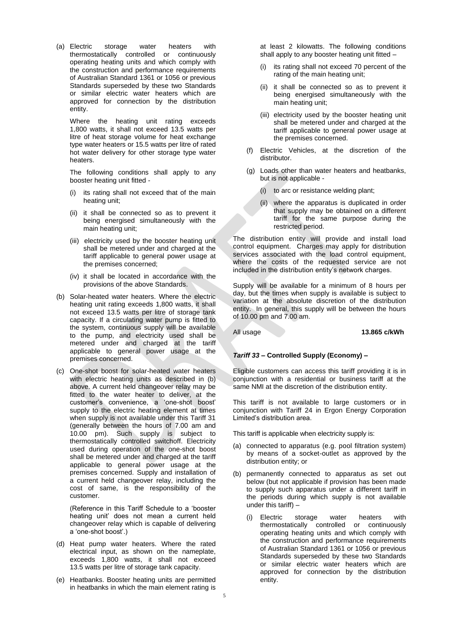(a) Electric storage water heaters with thermostatically controlled or continuously operating heating units and which comply with the construction and performance requirements of Australian Standard 1361 or 1056 or previous Standards superseded by these two Standards or similar electric water heaters which are approved for connection by the distribution entity.

Where the heating unit rating exceeds 1,800 watts, it shall not exceed 13.5 watts per litre of heat storage volume for heat exchange type water heaters or 15.5 watts per litre of rated hot water delivery for other storage type water heaters.

The following conditions shall apply to any booster heating unit fitted -

- (i) its rating shall not exceed that of the main heating unit;
- (ii) it shall be connected so as to prevent it being energised simultaneously with the main heating unit;
- (iii) electricity used by the booster heating unit shall be metered under and charged at the tariff applicable to general power usage at the premises concerned;
- (iv) it shall be located in accordance with the provisions of the above Standards.
- (b) Solar-heated water heaters. Where the electric heating unit rating exceeds 1,800 watts, it shall not exceed 13.5 watts per litre of storage tank capacity. If a circulating water pump is fitted to the system, continuous supply will be available to the pump, and electricity used shall be metered under and charged at the tariff applicable to general power usage at the premises concerned.
- (c) One-shot boost for solar-heated water heaters with electric heating units as described in (b) above. A current held changeover relay may be fitted to the water heater to deliver, at the customer's convenience, a 'one-shot boost' supply to the electric heating element at times when supply is not available under this Tariff 31 (generally between the hours of 7.00 am and 10.00 pm). Such supply is subject to thermostatically controlled switchoff. Electricity used during operation of the one-shot boost shall be metered under and charged at the tariff applicable to general power usage at the premises concerned. Supply and installation of a current held changeover relay, including the cost of same, is the responsibility of the customer.

(Reference in this Tariff Schedule to a 'booster heating unit' does not mean a current held changeover relay which is capable of delivering a 'one-shot boost'.)

- (d) Heat pump water heaters. Where the rated electrical input, as shown on the nameplate, exceeds 1,800 watts, it shall not exceed 13.5 watts per litre of storage tank capacity.
- (e) Heatbanks. Booster heating units are permitted in heatbanks in which the main element rating is

at least 2 kilowatts. The following conditions shall apply to any booster heating unit fitted –

- (i) its rating shall not exceed 70 percent of the rating of the main heating unit;
- (ii) it shall be connected so as to prevent it being energised simultaneously with the main heating unit;
- (iii) electricity used by the booster heating unit shall be metered under and charged at the tariff applicable to general power usage at the premises concerned.
- (f) Electric Vehicles, at the discretion of the distributor.
- (g) Loads other than water heaters and heatbanks, but is not applicable -
	- (i) to arc or resistance welding plant;
	- (ii) where the apparatus is duplicated in order that supply may be obtained on a different tariff for the same purpose during the restricted period.

The distribution entity will provide and install load control equipment. Charges may apply for distribution services associated with the load control equipment, where the costs of the requested service are not included in the distribution entity's network charges.

Supply will be available for a minimum of 8 hours per day, but the times when supply is available is subject to variation at the absolute discretion of the distribution entity. In general, this supply will be between the hours of 10.00 pm and 7.00 am.

All usage **13.865 c/kWh**

# *Tariff 33* **– Controlled Supply (Economy) –**

Eligible customers can access this tariff providing it is in conjunction with a residential or business tariff at the same NMI at the discretion of the distribution entity.

This tariff is not available to large customers or in conjunction with Tariff 24 in Ergon Energy Corporation Limited's distribution area.

This tariff is applicable when electricity supply is:

- (a) connected to apparatus (e.g. pool filtration system) by means of a socket-outlet as approved by the distribution entity; or
- (b) permanently connected to apparatus as set out below (but not applicable if provision has been made to supply such apparatus under a different tariff in the periods during which supply is not available under this tariff) –
	- (i) Electric storage water heaters with thermostatically controlled or continuously operating heating units and which comply with the construction and performance requirements of Australian Standard 1361 or 1056 or previous Standards superseded by these two Standards or similar electric water heaters which are approved for connection by the distribution entity.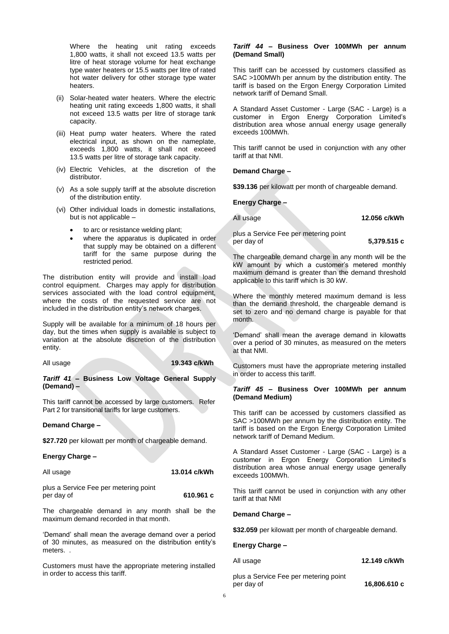Where the heating unit rating exceeds 1,800 watts, it shall not exceed 13.5 watts per litre of heat storage volume for heat exchange type water heaters or 15.5 watts per litre of rated hot water delivery for other storage type water heaters.

- (ii) Solar-heated water heaters. Where the electric heating unit rating exceeds 1,800 watts, it shall not exceed 13.5 watts per litre of storage tank capacity.
- (iii) Heat pump water heaters. Where the rated electrical input, as shown on the nameplate, exceeds 1,800 watts, it shall not exceed 13.5 watts per litre of storage tank capacity.
- (iv) Electric Vehicles, at the discretion of the distributor.
- (v) As a sole supply tariff at the absolute discretion of the distribution entity.
- (vi) Other individual loads in domestic installations, but is not applicable –
	- to arc or resistance welding plant;
	- where the apparatus is duplicated in order that supply may be obtained on a different tariff for the same purpose during the restricted period.

The distribution entity will provide and install load control equipment. Charges may apply for distribution services associated with the load control equipment, where the costs of the requested service are not included in the distribution entity's network charges.

Supply will be available for a minimum of 18 hours per day, but the times when supply is available is subject to variation at the absolute discretion of the distribution entity.

All usage **19.343 c/kWh**

*Tariff 41* **– Business Low Voltage General Supply (Demand) –**

This tariff cannot be accessed by large customers. Refer Part 2 for transitional tariffs for large customers.

# **Demand Charge –**

**\$27.720** per kilowatt per month of chargeable demand.

# **Energy Charge –**

| All usage | 13.014 c/kWh |
|-----------|--------------|
|-----------|--------------|

| plus a Service Fee per metering point |           |
|---------------------------------------|-----------|
| per day of                            | 610.961 c |

The chargeable demand in any month shall be the maximum demand recorded in that month.

'Demand' shall mean the average demand over a period of 30 minutes, as measured on the distribution entity's meters. .

Customers must have the appropriate metering installed in order to access this tariff.

# *Tariff 44 –* **Business Over 100MWh per annum (Demand Small)**

This tariff can be accessed by customers classified as SAC >100MWh per annum by the distribution entity. The tariff is based on the Ergon Energy Corporation Limited network tariff of Demand Small.

A Standard Asset Customer - Large (SAC - Large) is a customer in Ergon Energy Corporation Limited's distribution area whose annual energy usage generally exceeds 100MWh.

This tariff cannot be used in conjunction with any other tariff at that NMI.

**Demand Charge –**

**\$39.136** per kilowatt per month of chargeable demand.

**Energy Charge –**

All usage **12.056 c/kWh**

plus a Service Fee per metering point per day of **5,379.515 c**

The chargeable demand charge in any month will be the kW amount by which a customer's metered monthly maximum demand is greater than the demand threshold applicable to this tariff which is 30 kW.

Where the monthly metered maximum demand is less than the demand threshold, the chargeable demand is set to zero and no demand charge is payable for that month.

'Demand' shall mean the average demand in kilowatts over a period of 30 minutes, as measured on the meters at that NMI.

Customers must have the appropriate metering installed in order to access this tariff.

# *Tariff 45 –* **Business Over 100MWh per annum (Demand Medium)**

This tariff can be accessed by customers classified as SAC >100MWh per annum by the distribution entity. The tariff is based on the Ergon Energy Corporation Limited network tariff of Demand Medium.

A Standard Asset Customer - Large (SAC - Large) is a customer in Ergon Energy Corporation Limited's distribution area whose annual energy usage generally exceeds 100MWh.

This tariff cannot be used in conjunction with any other tariff at that NMI

# **Demand Charge –**

**\$32.059** per kilowatt per month of chargeable demand.

**Energy Charge –**

All usage **12.149 c/kWh**

plus a Service Fee per metering point per day of **16,806.610 c**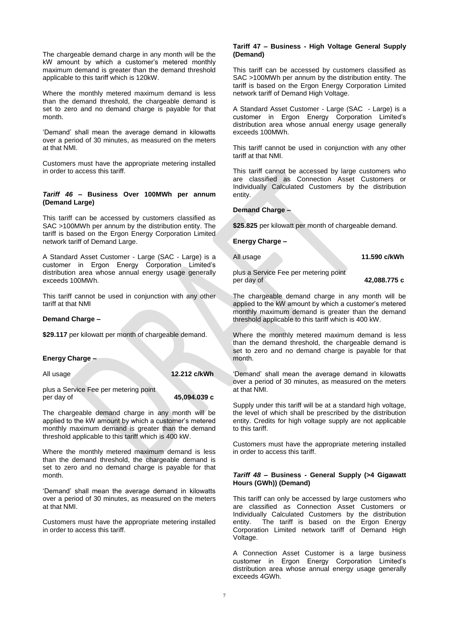The chargeable demand charge in any month will be the kW amount by which a customer's metered monthly maximum demand is greater than the demand threshold applicable to this tariff which is 120kW.

Where the monthly metered maximum demand is less than the demand threshold, the chargeable demand is set to zero and no demand charge is payable for that month.

'Demand' shall mean the average demand in kilowatts over a period of 30 minutes, as measured on the meters at that NMI.

Customers must have the appropriate metering installed in order to access this tariff.

# *Tariff 46 –* **Business Over 100MWh per annum (Demand Large)**

This tariff can be accessed by customers classified as SAC >100MWh per annum by the distribution entity. The tariff is based on the Ergon Energy Corporation Limited network tariff of Demand Large.

A Standard Asset Customer - Large (SAC - Large) is a customer in Ergon Energy Corporation Limited's distribution area whose annual energy usage generally exceeds 100MWh.

This tariff cannot be used in conjunction with any other tariff at that NMI

# **Demand Charge –**

\$29.117 per kilowatt per month of chargeable demand.

#### **Energy Charge –**

All usage **12.212 c/kWh**

plus a Service Fee per metering point per day of **45,094.039 c**

The chargeable demand charge in any month will be applied to the kW amount by which a customer's metered monthly maximum demand is greater than the demand threshold applicable to this tariff which is 400 kW.

Where the monthly metered maximum demand is less than the demand threshold, the chargeable demand is set to zero and no demand charge is payable for that month.

'Demand' shall mean the average demand in kilowatts over a period of 30 minutes, as measured on the meters at that NMI.

Customers must have the appropriate metering installed in order to access this tariff.

## **Tariff 47 – Business - High Voltage General Supply (Demand)**

This tariff can be accessed by customers classified as SAC >100MWh per annum by the distribution entity. The tariff is based on the Ergon Energy Corporation Limited network tariff of Demand High Voltage.

A Standard Asset Customer - Large (SAC - Large) is a customer in Ergon Energy Corporation Limited's distribution area whose annual energy usage generally exceeds 100MWh.

This tariff cannot be used in conjunction with any other tariff at that NMI.

This tariff cannot be accessed by large customers who are classified as Connection Asset Customers or Individually Calculated Customers by the distribution entity.

# **Demand Charge –**

**\$25.825** per kilowatt per month of chargeable demand.

**Energy Charge –**

All usage **11.590 c/kWh**

plus a Service Fee per metering point per day of **42,088.775 c**

The chargeable demand charge in any month will be applied to the kW amount by which a customer's metered monthly maximum demand is greater than the demand threshold applicable to this tariff which is 400 kW.

Where the monthly metered maximum demand is less than the demand threshold, the chargeable demand is set to zero and no demand charge is payable for that month.

'Demand' shall mean the average demand in kilowatts over a period of 30 minutes, as measured on the meters at that NMI.

Supply under this tariff will be at a standard high voltage, the level of which shall be prescribed by the distribution entity. Credits for high voltage supply are not applicable to this tariff.

Customers must have the appropriate metering installed in order to access this tariff.

# *Tariff 48* **– Business - General Supply (>4 Gigawatt Hours (GWh)) (Demand)**

This tariff can only be accessed by large customers who are classified as Connection Asset Customers or Individually Calculated Customers by the distribution entity. The tariff is based on the Ergon Energy Corporation Limited network tariff of Demand High Voltage.

A Connection Asset Customer is a large business customer in Ergon Energy Corporation Limited's distribution area whose annual energy usage generally exceeds 4GWh.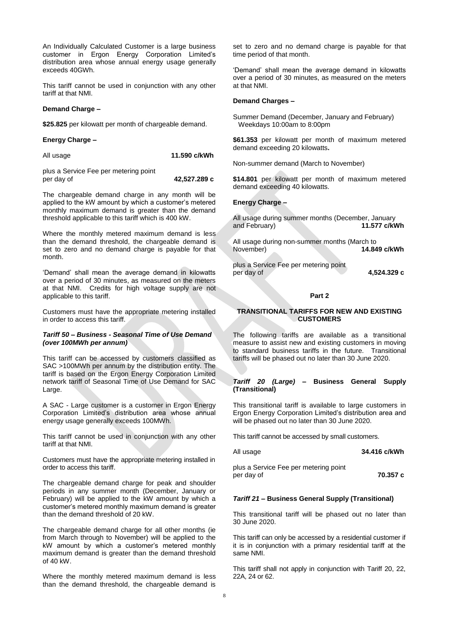An Individually Calculated Customer is a large business customer in Ergon Energy Corporation Limited's distribution area whose annual energy usage generally exceeds 40GWh.

This tariff cannot be used in conjunction with any other tariff at that NMI.

#### **Demand Charge –**

**\$25.825** per kilowatt per month of chargeable demand.

#### **Energy Charge –**

All usage **11.590 c/kWh**

plus a Service Fee per metering point per day of **42,527.289 c**

The chargeable demand charge in any month will be applied to the kW amount by which a customer's metered monthly maximum demand is greater than the demand threshold applicable to this tariff which is 400 kW.

Where the monthly metered maximum demand is less than the demand threshold, the chargeable demand is set to zero and no demand charge is payable for that month.

'Demand' shall mean the average demand in kilowatts over a period of 30 minutes, as measured on the meters at that NMI. Credits for high voltage supply are not applicable to this tariff.

Customers must have the appropriate metering installed in order to access this tariff.

# *Tariff 50 – Business - Seasonal Time of Use Demand (over 100MWh per annum)*

This tariff can be accessed by customers classified as SAC >100MWh per annum by the distribution entity. The tariff is based on the Ergon Energy Corporation Limited network tariff of Seasonal Time of Use Demand for SAC Large.

A SAC - Large customer is a customer in Ergon Energy Corporation Limited's distribution area whose annual energy usage generally exceeds 100MWh.

This tariff cannot be used in conjunction with any other tariff at that NMI.

Customers must have the appropriate metering installed in order to access this tariff.

The chargeable demand charge for peak and shoulder periods in any summer month (December, January or February) will be applied to the kW amount by which a customer's metered monthly maximum demand is greater than the demand threshold of 20 kW.

The chargeable demand charge for all other months (ie from March through to November) will be applied to the kW amount by which a customer's metered monthly maximum demand is greater than the demand threshold of 40 kW.

Where the monthly metered maximum demand is less than the demand threshold, the chargeable demand is set to zero and no demand charge is payable for that time period of that month.

'Demand' shall mean the average demand in kilowatts over a period of 30 minutes, as measured on the meters at that NMI.

#### **Demand Charges –**

Summer Demand (December, January and February) Weekdays 10:00am to 8:00pm

**\$61.353** per kilowatt per month of maximum metered demand exceeding 20 kilowatts**.**

Non-summer demand (March to November)

**\$14.801** per kilowatt per month of maximum metered demand exceeding 40 kilowatts.

#### **Energy Charge –**

All usage during summer months (December, January and February) **11.577 c/kWh**

All usage during non-summer months (March to November) **14.849 c/kWh**

plus a Service Fee per metering point per day of **4,524.329 c**

#### **Part 2**

# **TRANSITIONAL TARIFFS FOR NEW AND EXISTING CUSTOMERS**

The following tariffs are available as a transitional measure to assist new and existing customers in moving to standard business tariffs in the future. Transitional tariffs will be phased out no later than 30 June 2020.

# *Tariff 20 (Large)* **– Business General Supply (Transitional)**

This transitional tariff is available to large customers in Ergon Energy Corporation Limited's distribution area and will be phased out no later than 30 June 2020.

This tariff cannot be accessed by small customers.

| All usage |  |  |  |  |  | 34.416 c/kWh |  |  |
|-----------|--|--|--|--|--|--------------|--|--|
|           |  |  |  |  |  |              |  |  |

plus a Service Fee per metering point per day of **70.357 c**

# *Tariff 21* **– Business General Supply (Transitional)**

This transitional tariff will be phased out no later than 30 June 2020.

This tariff can only be accessed by a residential customer if it is in conjunction with a primary residential tariff at the same NMI.

This tariff shall not apply in conjunction with Tariff 20, 22, 22A, 24 or 62.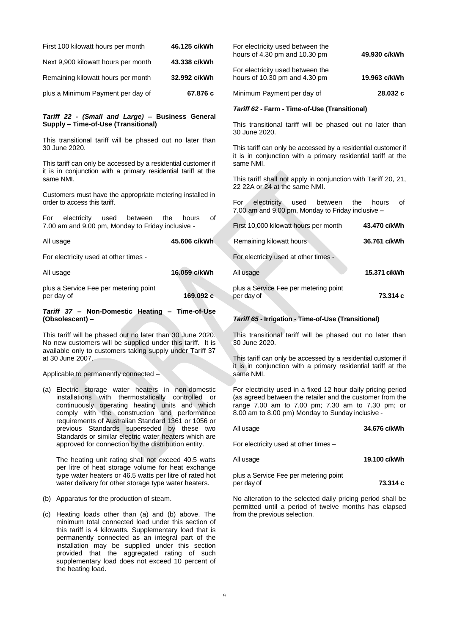| First 100 kilowatt hours per month  | 46.125 c/kWh |
|-------------------------------------|--------------|
| Next 9,900 kilowatt hours per month | 43.338 c/kWh |
| Remaining kilowatt hours per month  | 32.992 c/kWh |
| plus a Minimum Payment per day of   | 67.876 c     |

## *Tariff 22 - (Small and Large)* **– Business General Supply – Time-of-Use (Transitional)**

This transitional tariff will be phased out no later than 30 June 2020.

This tariff can only be accessed by a residential customer if it is in conjunction with a primary residential tariff at the same NMI.

Customers must have the appropriate metering installed in order to access this tariff.

For electricity used between the hours of 7.00 am and 9.00 pm, Monday to Friday inclusive -

All usage **45.606 c/kWh**

For electricity used at other times -

All usage **16.059 c/kWh**

plus a Service Fee per metering point per day of **169.092 c**

## *Tariff 37* **– Non-Domestic Heating – Time-of-Use (Obsolescent) –**

This tariff will be phased out no later than 30 June 2020. No new customers will be supplied under this tariff. It is available only to customers taking supply under Tariff 37 at 30 June 2007.

Applicable to permanently connected –

(a) Electric storage water heaters in non-domestic installations with thermostatically controlled or continuously operating heating units and which comply with the construction and performance requirements of Australian Standard 1361 or 1056 or previous Standards superseded by these two Standards or similar electric water heaters which are approved for connection by the distribution entity.

The heating unit rating shall not exceed 40.5 watts per litre of heat storage volume for heat exchange type water heaters or 46.5 watts per litre of rated hot water delivery for other storage type water heaters.

- (b) Apparatus for the production of steam.
- (c) Heating loads other than (a) and (b) above. The minimum total connected load under this section of this tariff is 4 kilowatts. Supplementary load that is permanently connected as an integral part of the installation may be supplied under this section provided that the aggregated rating of such supplementary load does not exceed 10 percent of the heating load.

| For electricity used between the<br>hours of 4.30 pm and 10.30 pm | 49.930 c/kWh |
|-------------------------------------------------------------------|--------------|
| For electricity used between the<br>hours of 10.30 pm and 4.30 pm | 19.963 c/kWh |

Minimum Payment per day of **28.032 c**

#### *Tariff 62* **- Farm - Time-of-Use (Transitional)**

This transitional tariff will be phased out no later than 30 June 2020.

This tariff can only be accessed by a residential customer if it is in conjunction with a primary residential tariff at the same NMI.

This tariff shall not apply in conjunction with Tariff 20, 21, 22 22A or 24 at the same NMI.

For electricity used between the hours of 7.00 am and 9.00 pm, Monday to Friday inclusive –

| First 10,000 kilowatt hours per month               | 43.470 c/kWh |
|-----------------------------------------------------|--------------|
| Remaining kilowatt hours                            | 36.761 c/kWh |
| For electricity used at other times -               |              |
| All usage                                           | 15.371 c/kWh |
| plus a Service Fee per metering point<br>per day of | 73.314 c     |

# *Tariff 65* **- Irrigation - Time-of-Use (Transitional)**

This transitional tariff will be phased out no later than 30 June 2020.

This tariff can only be accessed by a residential customer if it is in conjunction with a primary residential tariff at the same NMI.

For electricity used in a fixed 12 hour daily pricing period (as agreed between the retailer and the customer from the range 7.00 am to 7.00 pm; 7.30 am to 7.30 pm; or 8.00 am to 8.00 pm) Monday to Sunday inclusive -

| All usage                             | 34.676 c/kWh |
|---------------------------------------|--------------|
| For electricity used at other times - |              |

| All usage                             | 19.100 c/kWh |
|---------------------------------------|--------------|
| plus a Service Fee per metering point |              |

per day of **73.314 c**

No alteration to the selected daily pricing period shall be permitted until a period of twelve months has elapsed from the previous selection.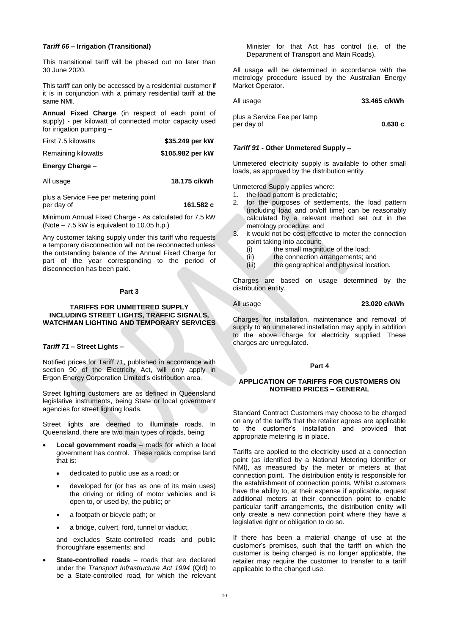#### *Tariff 66* **– Irrigation (Transitional)**

This transitional tariff will be phased out no later than 30 June 2020.

This tariff can only be accessed by a residential customer if it is in conjunction with a primary residential tariff at the same NMI.

**Annual Fixed Charge** (in respect of each point of supply) - per kilowatt of connected motor capacity used for irrigation pumping –

| First 7.5 kilowatts | \$35.249 per kW  |
|---------------------|------------------|
| Remaining kilowatts | \$105.982 per kW |
| $F_{\text{max}}$    |                  |

## **Energy Charge** –

All usage **18.175 c/kWh**

| plus a Service Fee per metering point |           |
|---------------------------------------|-----------|
| per day of                            | 161.582 с |

Minimum Annual Fixed Charge - As calculated for 7.5 kW (Note – 7.5 kW is equivalent to 10.05 h.p.)

Any customer taking supply under this tariff who requests a temporary disconnection will not be reconnected unless the outstanding balance of the Annual Fixed Charge for part of the year corresponding to the period of disconnection has been paid.

#### **Part 3**

#### **TARIFFS FOR UNMETERED SUPPLY INCLUDING STREET LIGHTS, TRAFFIC SIGNALS, WATCHMAN LIGHTING AND TEMPORARY SERVICES**

#### *Tariff 71 –* **Street Lights –**

Notified prices for Tariff 71, published in accordance with section 90 of the Electricity Act, will only apply in Ergon Energy Corporation Limited's distribution area.

Street lighting customers are as defined in Queensland legislative instruments, being State or local government agencies for street lighting loads.

Street lights are deemed to illuminate roads. In Queensland, there are two main types of roads, being:

- **Local government roads** roads for which a local government has control. These roads comprise land that is:
	- dedicated to public use as a road; or
	- developed for (or has as one of its main uses) the driving or riding of motor vehicles and is open to, or used by, the public; or
	- a footpath or bicycle path; or
	- a bridge, culvert, ford, tunnel or viaduct,

and excludes State-controlled roads and public thoroughfare easements; and

 **State-controlled roads** – roads that are declared under the *Transport Infrastructure Act 1994* (Qld) to be a State-controlled road, for which the relevant Minister for that Act has control (i.e. of the Department of Transport and Main Roads).

All usage will be determined in accordance with the metrology procedure issued by the Australian Energy Market Operator.

| All usage                   | 33.465 c/kWh |
|-----------------------------|--------------|
| plus a Service Fee per lamp |              |
| per day of                  | 0.630c       |

#### *Tariff 91* **- Other Unmetered Supply –**

Unmetered electricity supply is available to other small loads, as approved by the distribution entity

Unmetered Supply applies where:

- 1. the load pattern is predictable;
- 2. for the purposes of settlements, the load pattern (including load and on/off time) can be reasonably calculated by a relevant method set out in the metrology procedure; and
- 3. it would not be cost effective to meter the connection point taking into account:
	- (i) the small magnitude of the load;
	- (ii) the connection arrangements; and
	- (iii) the geographical and physical location.

Charges are based on usage determined by the distribution entity.

#### All usage **23.020 c/kWh**

Charges for installation, maintenance and removal of supply to an unmetered installation may apply in addition to the above charge for electricity supplied. These charges are unregulated.

# **Part 4**

## **APPLICATION OF TARIFFS FOR CUSTOMERS ON NOTIFIED PRICES – GENERAL**

Standard Contract Customers may choose to be charged on any of the tariffs that the retailer agrees are applicable to the customer's installation and provided that appropriate metering is in place.

Tariffs are applied to the electricity used at a connection point (as identified by a National Metering Identifier or NMI), as measured by the meter or meters at that connection point. The distribution entity is responsible for the establishment of connection points. Whilst customers have the ability to, at their expense if applicable, request additional meters at their connection point to enable particular tariff arrangements, the distribution entity will only create a new connection point where they have a legislative right or obligation to do so.

If there has been a material change of use at the customer's premises, such that the tariff on which the customer is being charged is no longer applicable, the retailer may require the customer to transfer to a tariff applicable to the changed use.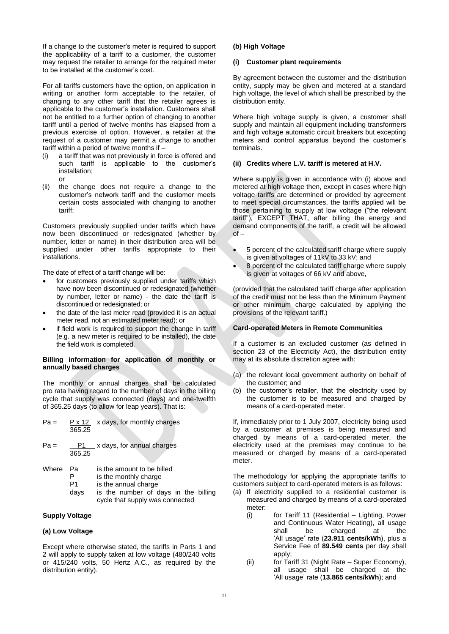If a change to the customer's meter is required to support the applicability of a tariff to a customer, the customer may request the retailer to arrange for the required meter to be installed at the customer's cost.

For all tariffs customers have the option, on application in writing or another form acceptable to the retailer, of changing to any other tariff that the retailer agrees is applicable to the customer's installation. Customers shall not be entitled to a further option of changing to another tariff until a period of twelve months has elapsed from a previous exercise of option. However, a retailer at the request of a customer may permit a change to another tariff within a period of twelve months if –

- (i) a tariff that was not previously in force is offered and such tariff is applicable to the customer's installation; or
- (ii) the change does not require a change to the customer's network tariff and the customer meets certain costs associated with changing to another tariff;

Customers previously supplied under tariffs which have now been discontinued or redesignated (whether by number, letter or name) in their distribution area will be supplied under other tariffs appropriate to their installations.

The date of effect of a tariff change will be:

- for customers previously supplied under tariffs which have now been discontinued or redesignated (whether by number, letter or name) - the date the tariff is discontinued or redesignated; or
- the date of the last meter read (provided it is an actual meter read, not an estimated meter read); or
- if field work is required to support the change in tariff (e.g. a new meter is required to be installed), the date the field work is completed.

# **Billing information for application of monthly or annually based charges**

The monthly or annual charges shall be calculated pro rata having regard to the number of days in the billing cycle that supply was connected (days) and one-twelfth of 365.25 days (to allow for leap years). That is:

- $Pa = \frac{P \times 12}{P \times 12}$  x days, for monthly charges 365.25
- $Pa =$   $P1$  x days, for annual charges  $365.25$
- Where Pa is the amount to be billed
	- $P$  is the monthly charge<br>P1 is the annual charge
	- P1 is the annual charge<br>davs is the number of c
	- is the number of days in the billing cycle that supply was connected

# **Supply Voltage**

# **(a) Low Voltage**

Except where otherwise stated, the tariffs in Parts 1 and 2 will apply to supply taken at low voltage (480/240 volts or 415/240 volts, 50 Hertz A.C., as required by the distribution entity).

# **(b) High Voltage**

# **(i) Customer plant requirements**

By agreement between the customer and the distribution entity, supply may be given and metered at a standard high voltage, the level of which shall be prescribed by the distribution entity.

Where high voltage supply is given, a customer shall supply and maintain all equipment including transformers and high voltage automatic circuit breakers but excepting meters and control apparatus beyond the customer's terminals.

# **(ii) Credits where L.V. tariff is metered at H.V.**

Where supply is given in accordance with (i) above and metered at high voltage then, except in cases where high voltage tariffs are determined or provided by agreement to meet special circumstances, the tariffs applied will be those pertaining to supply at low voltage ("the relevant tariff"), EXCEPT THAT, after billing the energy and demand components of the tariff, a credit will be allowed  $of -$ 

- 5 percent of the calculated tariff charge where supply is given at voltages of 11kV to 33 kV; and
- 8 percent of the calculated tariff charge where supply is given at voltages of 66 kV and above,

(provided that the calculated tariff charge after application of the credit must not be less than the Minimum Payment or other minimum charge calculated by applying the provisions of the relevant tariff.)

# **Card-operated Meters in Remote Communities**

If a customer is an excluded customer (as defined in section 23 of the Electricity Act), the distribution entity may at its absolute discretion agree with:

- (a) the relevant local government authority on behalf of the customer; and
- (b) the customer's retailer, that the electricity used by the customer is to be measured and charged by means of a card-operated meter.

If, immediately prior to 1 July 2007, electricity being used by a customer at premises is being measured and charged by means of a card-operated meter, the electricity used at the premises may continue to be measured or charged by means of a card-operated meter.

The methodology for applying the appropriate tariffs to customers subject to card-operated meters is as follows:

- (a) If electricity supplied to a residential customer is measured and charged by means of a card-operated meter:
	- (i) for Tariff 11 (Residential Lighting, Power and Continuous Water Heating), all usage shall be charged at the 'All usage' rate (**23.911 cents/kWh**), plus a Service Fee of **89.549 cents** per day shall apply;
	- (ii) for Tariff 31 (Night Rate Super Economy), all usage shall be charged at the 'All usage' rate (**13.865 cents/kWh**); and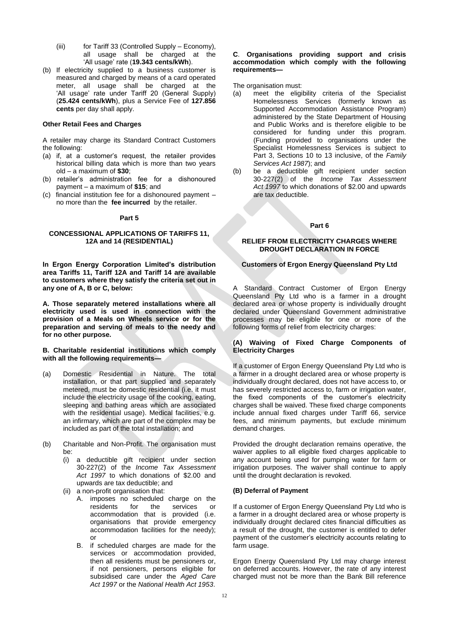- (iii) for Tariff 33 (Controlled Supply Economy), all usage shall be charged at the 'All usage' rate (**19.343 cents/kWh**).
- (b) If electricity supplied to a business customer is measured and charged by means of a card operated meter, all usage shall be charged at the 'All usage' rate under Tariff 20 (General Supply) (**25.424 cents/kWh**), plus a Service Fee of **127.856 cents** per day shall apply.

# **Other Retail Fees and Charges**

A retailer may charge its Standard Contract Customers the following:

- (a) if, at a customer's request, the retailer provides historical billing data which is more than two years old – a maximum of **\$30**;
- (b) retailer's administration fee for a dishonoured payment – a maximum of **\$15**; and
- (c) financial institution fee for a dishonoured payment no more than the **fee incurred** by the retailer.

#### **Part 5**

## **CONCESSIONAL APPLICATIONS OF TARIFFS 11, 12A and 14 (RESIDENTIAL)**

**In Ergon Energy Corporation Limited's distribution area Tariffs 11, Tariff 12A and Tariff 14 are available to customers where they satisfy the criteria set out in any one of A, B or C, below:**

**A. Those separately metered installations where all electricity used is used in connection with the provision of a Meals on Wheels service or for the preparation and serving of meals to the needy and for no other purpose.**

## **B. Charitable residential institutions which comply with all the following requirements—**

- (a) Domestic Residential in Nature. The total installation, or that part supplied and separately metered, must be domestic residential (i.e. it must include the electricity usage of the cooking, eating, sleeping and bathing areas which are associated with the residential usage). Medical facilities, e.g. an infirmary, which are part of the complex may be included as part of the total installation; and
- (b) Charitable and Non-Profit. The organisation must be:
	- (i) a deductible gift recipient under section 30-227(2) of the *Income Tax Assessment Act 1997* to which donations of \$2.00 and upwards are tax deductible; and
	- (ii) a non-profit organisation that:
		- A. imposes no scheduled charge on the residents for the services or accommodation that is provided (i.e. organisations that provide emergency accommodation facilities for the needy); or
		- B. if scheduled charges are made for the services or accommodation provided, then all residents must be pensioners or, if not pensioners, persons eligible for subsidised care under the *Aged Care Act 1997* or the *National Health Act 1953*.

#### **C**. **Organisations providing support and crisis accommodation which comply with the following requirements—**

The organisation must:

- (a) meet the eligibility criteria of the Specialist Homelessness Services (formerly known as Supported Accommodation Assistance Program) administered by the State Department of Housing and Public Works and is therefore eligible to be considered for funding under this program. (Funding provided to organisations under the Specialist Homelessness Services is subject to Part 3, Sections 10 to 13 inclusive, of the *Family Services Act 1987*); and
- (b) be a deductible gift recipient under section 30-227(2) of the *Income Tax Assessment Act 1997* to which donations of \$2.00 and upwards are tax deductible.

#### **Part 6**

#### **RELIEF FROM ELECTRICITY CHARGES WHERE DROUGHT DECLARATION IN FORCE**

#### **Customers of Ergon Energy Queensland Pty Ltd**

A Standard Contract Customer of Ergon Energy Queensland Pty Ltd who is a farmer in a drought declared area or whose property is individually drought declared under Queensland Government administrative processes may be eligible for one or more of the following forms of relief from electricity charges:

# **(A) Waiving of Fixed Charge Components of Electricity Charges**

If a customer of Ergon Energy Queensland Pty Ltd who is a farmer in a drought declared area or whose property is individually drought declared, does not have access to, or has severely restricted access to, farm or irrigation water, the fixed components of the customer's electricity charges shall be waived. These fixed charge components include annual fixed charges under Tariff 66, service fees, and minimum payments, but exclude minimum demand charges.

Provided the drought declaration remains operative, the waiver applies to all eligible fixed charges applicable to any account being used for pumping water for farm or irrigation purposes. The waiver shall continue to apply until the drought declaration is revoked.

# **(B) Deferral of Payment**

If a customer of Ergon Energy Queensland Pty Ltd who is a farmer in a drought declared area or whose property is individually drought declared cites financial difficulties as a result of the drought, the customer is entitled to defer payment of the customer's electricity accounts relating to farm usage.

Ergon Energy Queensland Pty Ltd may charge interest on deferred accounts. However, the rate of any interest charged must not be more than the Bank Bill reference